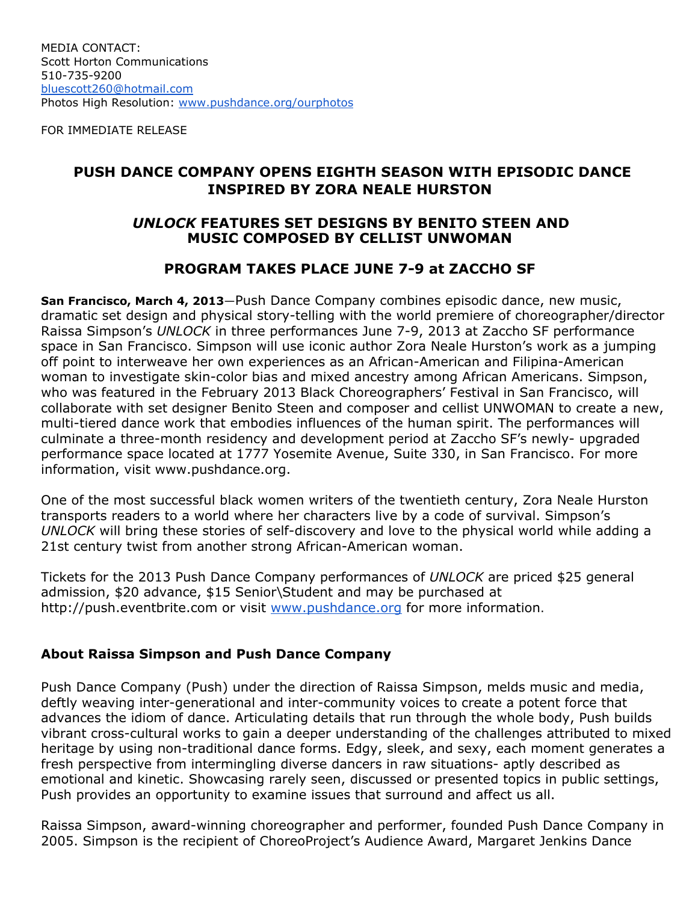FOR IMMEDIATE RELEASE

## **PUSH DANCE COMPANY OPENS EIGHTH SEASON WITH EPISODIC DANCE INSPIRED BY ZORA NEALE HURSTON**

### *UNLOCK* **FEATURES SET DESIGNS BY BENITO STEEN AND MUSIC COMPOSED BY CELLIST UNWOMAN**

## **PROGRAM TAKES PLACE JUNE 7-9 at ZACCHO SF**

**San Francisco, March 4, 2013**—Push Dance Company combines episodic dance, new music, dramatic set design and physical story-telling with the world premiere of choreographer/director Raissa Simpson's *UNLOCK* in three performances June 7-9, 2013 at Zaccho SF performance space in San Francisco. Simpson will use iconic author Zora Neale Hurston's work as a jumping off point to interweave her own experiences as an African-American and Filipina-American woman to investigate skin-color bias and mixed ancestry among African Americans. Simpson, who was featured in the February 2013 Black Choreographers' Festival in San Francisco, will collaborate with set designer Benito Steen and composer and cellist UNWOMAN to create a new, multi-tiered dance work that embodies influences of the human spirit. The performances will culminate a three-month residency and development period at Zaccho SF's newly- upgraded performance space located at 1777 Yosemite Avenue, Suite 330, in San Francisco. For more information, visit www.pushdance.org.

One of the most successful black women writers of the twentieth century, Zora Neale Hurston transports readers to a world where her characters live by a code of survival. Simpson's *UNLOCK* will bring these stories of self-discovery and love to the physical world while adding a 21st century twist from another strong African-American woman.

Tickets for the 2013 Push Dance Company performances of *UNLOCK* are priced \$25 general admission, \$20 advance, \$15 Senior\Student and may be purchased at http://push.eventbrite.com or visit [www.pushdance.org](http://www.google.com/url?q=http%3A%2F%2Fwww.pushdance.org&sa=D&sntz=1&usg=AFQjCNFwNxow6zR0ORpmJa4GPL1ylVRpOw) for more information.

#### **About Raissa Simpson and Push Dance Company**

Push Dance Company (Push) under the direction of Raissa Simpson, melds music and media, deftly weaving inter-generational and inter-community voices to create a potent force that advances the idiom of dance. Articulating details that run through the whole body, Push builds vibrant cross-cultural works to gain a deeper understanding of the challenges attributed to mixed heritage by using non-traditional dance forms. Edgy, sleek, and sexy, each moment generates a fresh perspective from intermingling diverse dancers in raw situations- aptly described as emotional and kinetic. Showcasing rarely seen, discussed or presented topics in public settings, Push provides an opportunity to examine issues that surround and affect us all.

Raissa Simpson, award-winning choreographer and performer, founded Push Dance Company in 2005. Simpson is the recipient of ChoreoProject's Audience Award, Margaret Jenkins Dance